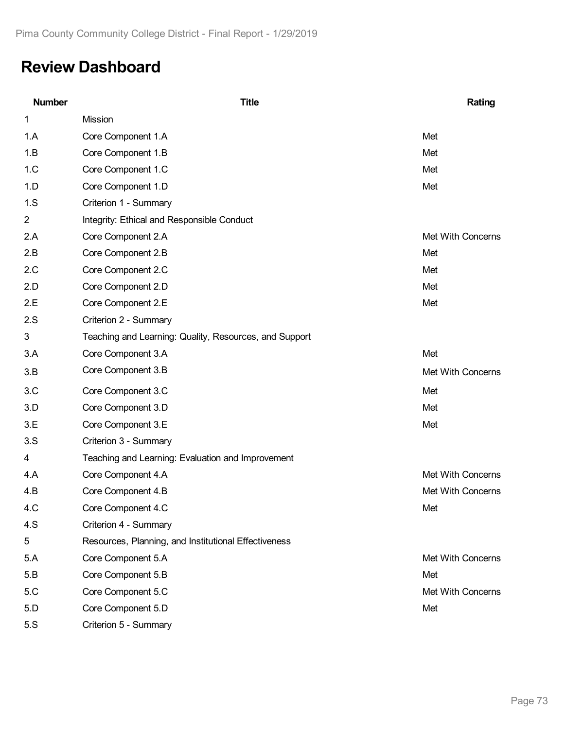# **Review Dashboard**

| <b>Number</b>  | <b>Title</b>                                           | Rating            |
|----------------|--------------------------------------------------------|-------------------|
| 1              | Mission                                                |                   |
| 1.A            | Core Component 1.A                                     | Met               |
| 1.B            | Core Component 1.B                                     | Met               |
| 1.C            | Core Component 1.C                                     | Met               |
| 1.D            | Core Component 1.D                                     | Met               |
| 1.S            | Criterion 1 - Summary                                  |                   |
| $\overline{2}$ | Integrity: Ethical and Responsible Conduct             |                   |
| 2.A            | Core Component 2.A                                     | Met With Concerns |
| 2.B            | Core Component 2.B                                     | Met               |
| 2.C            | Core Component 2.C                                     | Met               |
| 2.D            | Core Component 2.D                                     | Met               |
| 2.E            | Core Component 2.E                                     | Met               |
| 2.S            | Criterion 2 - Summary                                  |                   |
| 3              | Teaching and Learning: Quality, Resources, and Support |                   |
| 3.A            | Core Component 3.A                                     | Met               |
| 3.B            | Core Component 3.B                                     | Met With Concerns |
| 3.C            | Core Component 3.C                                     | Met               |
| 3.D            | Core Component 3.D                                     | Met               |
| 3.E            | Core Component 3.E                                     | Met               |
| 3.S            | Criterion 3 - Summary                                  |                   |
| 4              | Teaching and Learning: Evaluation and Improvement      |                   |
| 4.A            | Core Component 4.A                                     | Met With Concerns |
| 4.B            | Core Component 4.B                                     | Met With Concerns |
| 4.C            | Core Component 4.C                                     | Met               |
| 4.S            | Criterion 4 - Summary                                  |                   |
| 5              | Resources, Planning, and Institutional Effectiveness   |                   |
| 5.A            | Core Component 5.A                                     | Met With Concerns |
| 5.B            | Core Component 5.B                                     | Met               |
| 5.C            | Core Component 5.C                                     | Met With Concerns |
| 5.D            | Core Component 5.D                                     | Met               |
| 5.S            | Criterion 5 - Summary                                  |                   |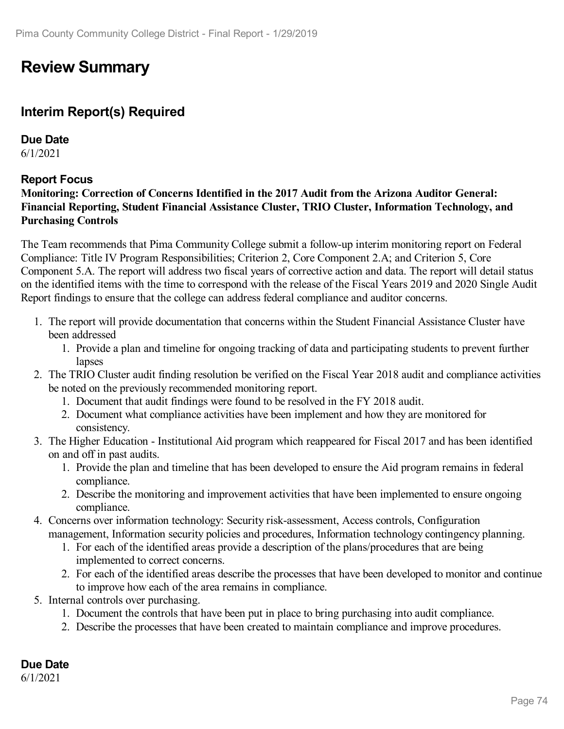## **Review Summary**

### **Interim Report(s) Required**

**Due Date** 6/1/2021

#### **Report Focus**

#### **Monitoring: Correction of Concerns Identified in the 2017 Audit from the Arizona Auditor General: Financial Reporting, Student Financial Assistance Cluster, TRIO Cluster, Information Technology, and Purchasing Controls**

The Team recommends that Pima Community College submit a follow-up interim monitoring report on Federal Compliance: Title IV Program Responsibilities; Criterion 2, Core Component 2.A; and Criterion 5, Core Component 5.A. The report will address two fiscal years of corrective action and data. The report will detail status on the identified items with the time to correspond with the release of the Fiscal Years 2019 and 2020 Single Audit Report findings to ensure that the college can address federal compliance and auditor concerns.

- 1. The report will provide documentation that concerns within the Student Financial Assistance Cluster have been addressed
	- 1. Provide a plan and timeline for ongoing tracking of data and participating students to prevent further lapses
- 2. The TRIO Cluster audit finding resolution be verified on the Fiscal Year 2018 audit and compliance activities be noted on the previously recommended monitoring report.
	- 1. Document that audit findings were found to be resolved in the FY 2018 audit.
	- 2. Document what compliance activities have been implement and how they are monitored for consistency.
- 3. The Higher Education Institutional Aid program which reappeared for Fiscal 2017 and has been identified on and off in past audits.
	- 1. Provide the plan and timeline that has been developed to ensure the Aid program remains in federal compliance.
	- 2. Describe the monitoring and improvement activities that have been implemented to ensure ongoing compliance.
- 4. Concerns over information technology: Security risk-assessment, Access controls, Configuration management, Information security policies and procedures, Information technology contingency planning.
	- 1. For each of the identified areas provide a description of the plans/procedures that are being implemented to correct concerns.
	- 2. For each of the identified areas describe the processes that have been developed to monitor and continue to improve how each of the area remains in compliance.
- 5. Internal controls over purchasing.
	- 1. Document the controls that have been put in place to bring purchasing into audit compliance.
	- 2. Describe the processes that have been created to maintain compliance and improve procedures.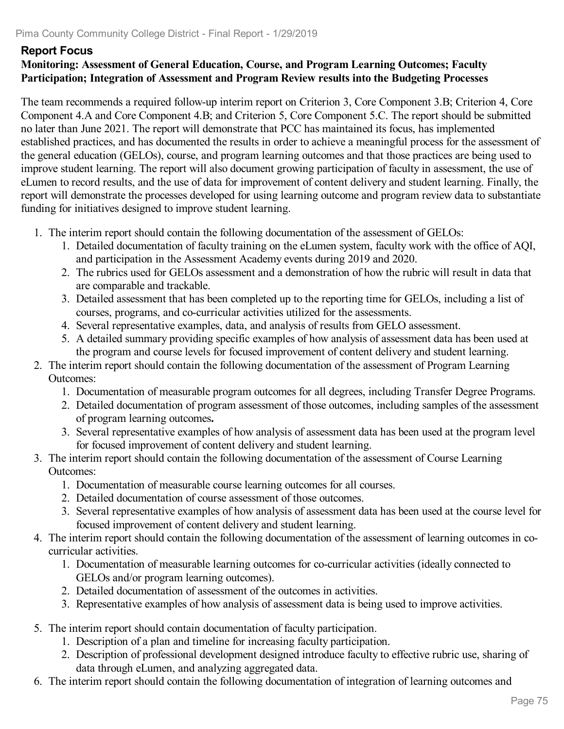#### **Report Focus**

#### **Monitoring: Assessment of General Education, Course, and Program Learning Outcomes; Faculty Participation; Integration of Assessment and Program Review results into the Budgeting Processes**

The team recommends a required follow-up interim report on Criterion 3, Core Component 3.B; Criterion 4, Core Component 4.A and Core Component 4.B; and Criterion 5, Core Component 5.C. The report should be submitted no later than June 2021. The report will demonstrate that PCC has maintained its focus, has implemented established practices, and has documented the results in order to achieve a meaningful process for the assessment of the general education (GELOs), course, and program learning outcomes and that those practices are being used to improve student learning. The report will also document growing participation of faculty in assessment, the use of eLumen to record results, and the use of data for improvement of content delivery and student learning. Finally, the report will demonstrate the processes developed for using learning outcome and program review data to substantiate funding for initiatives designed to improve student learning.

- 1. The interim report should contain the following documentation of the assessment of GELOs:
	- 1. Detailed documentation of faculty training on the eLumen system, faculty work with the office of AQI, and participation in the Assessment Academy events during 2019 and 2020.
	- 2. The rubrics used for GELOs assessment and a demonstration of how the rubric will result in data that are comparable and trackable.
	- 3. Detailed assessment that has been completed up to the reporting time for GELOs, including a list of courses, programs, and co-curricular activities utilized for the assessments.
	- 4. Several representative examples, data, and analysis of results from GELO assessment.
	- 5. A detailed summary providing specific examples of how analysis of assessment data has been used at the program and course levels for focused improvement of content delivery and student learning.
- 2. The interim report should contain the following documentation of the assessment of Program Learning Outcomes:
	- 1. Documentation of measurable program outcomes for all degrees, including Transfer Degree Programs.
	- 2. Detailed documentation of program assessment of those outcomes, including samples of the assessment of program learning outcomes**.**
	- 3. Several representative examples of how analysis of assessment data has been used at the program level for focused improvement of content delivery and student learning.
- 3. The interim report should contain the following documentation of the assessment of Course Learning Outcomes:
	- 1. Documentation of measurable course learning outcomes for all courses.
	- 2. Detailed documentation of course assessment of those outcomes.
	- 3. Several representative examples of how analysis of assessment data has been used at the course level for focused improvement of content delivery and student learning.
- 4. The interim report should contain the following documentation of the assessment of learning outcomes in cocurricular activities.
	- 1. Documentation of measurable learning outcomes for co-curricular activities (ideally connected to GELOs and/or program learning outcomes).
	- 2. Detailed documentation of assessment of the outcomes in activities.
	- 3. Representative examples of how analysis of assessment data is being used to improve activities.
- 5. The interim report should contain documentation of faculty participation.
	- 1. Description of a plan and timeline for increasing faculty participation.
	- 2. Description of professional development designed introduce faculty to effective rubric use, sharing of data through eLumen, and analyzing aggregated data.
- 6. The interim report should contain the following documentation of integration of learning outcomes and